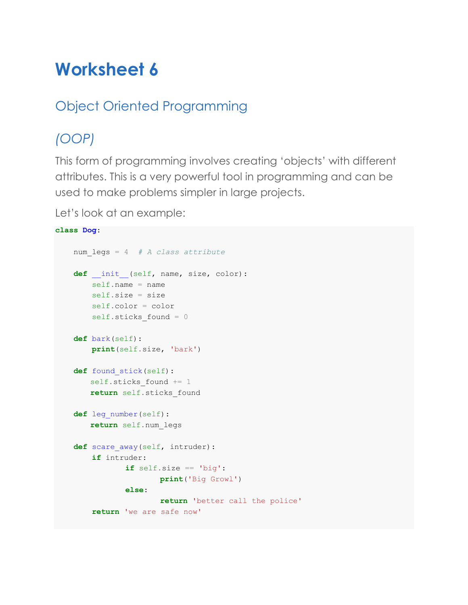# **Worksheet 6**

### Object Oriented Programming

## *(OOP)*

This form of programming involves creating 'objects' with different attributes. This is a very powerful tool in programming and can be used to make problems simpler in large projects.

Let's look at an example:

```
class Dog:
     num_legs = 4 # A class attribute
    def init (self, name, size, color):
       self.name = name self.size = size
         self.color = color
        self.sticks found = 0
     def bark(self):
        print(self.size, 'bark')
     def found_stick(self):
       self.sticks found += 1
        return self.sticks_found
     def leg_number(self):
        return self.num_legs
    def scare away(self, intruder):
         if intruder:
                if self.size == 'big':
                       print('Big Growl')
                else:
                        return 'better call the police'
         return 'we are safe now'
```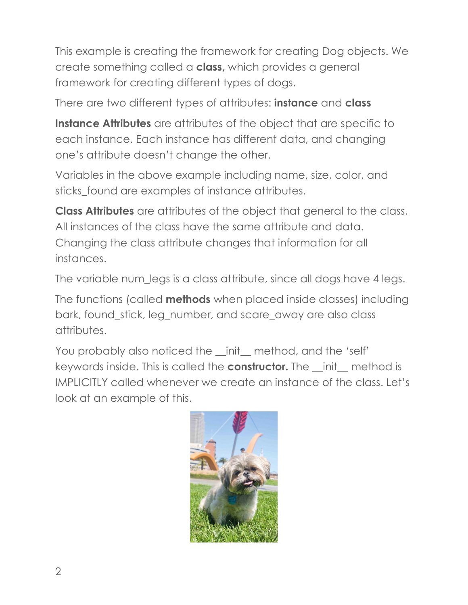This example is creating the framework for creating Dog objects. We create something called a **class,** which provides a general framework for creating different types of dogs.

There are two different types of attributes: **instance** and **class**

**Instance Attributes** are attributes of the object that are specific to each instance. Each instance has different data, and changing one's attribute doesn't change the other.

Variables in the above example including name, size, color, and sticks found are examples of instance attributes.

**Class Attributes** are attributes of the object that general to the class. All instances of the class have the same attribute and data. Changing the class attribute changes that information for all instances.

The variable num\_legs is a class attribute, since all dogs have 4 legs.

The functions (called **methods** when placed inside classes) including bark, found\_stick, leg\_number, and scare\_away are also class attributes.

You probably also noticed the \_init\_ method, and the 'self' keywords inside. This is called the **constructor.** The \_\_init\_\_ method is IMPLICITLY called whenever we create an instance of the class. Let's look at an example of this.

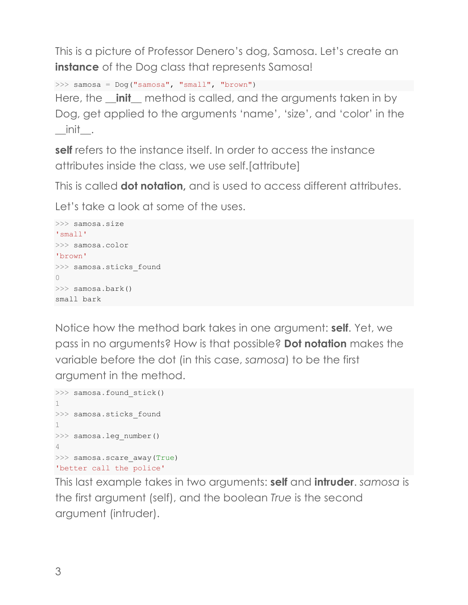This is a picture of Professor Denero's dog, Samosa. Let's create an **instance** of the Dog class that represents Samosa!

```
>>> samosa = Dog("samosa", "small", "brown")
```
Here, the **\_\_init\_\_** method is called, and the arguments taken in by Dog, get applied to the arguments 'name', 'size', and 'color' in the  $\_$ init $\_$ .

**self** refers to the instance itself. In order to access the instance attributes inside the class, we use self.[attribute]

This is called **dot notation,** and is used to access different attributes.

Let's take a look at some of the uses.

```
>>> samosa.size
'small'
>>> samosa.color
'brown'
>>> samosa.sticks found
0
>>> samosa.bark()
small bark
```
Notice how the method bark takes in one argument: **self**. Yet, we pass in no arguments? How is that possible? **Dot notation** makes the variable before the dot (in this case, *samosa*) to be the first argument in the method.

```
>>> samosa.found stick()
1
>>> samosa.sticks found
1
>>> samosa.leg number()
4
>>> samosa.scare_away(True)
'better call the police'
```
This last example takes in two arguments: **self** and **intruder**. *samosa* is the first argument (self), and the boolean *True* is the second argument (intruder).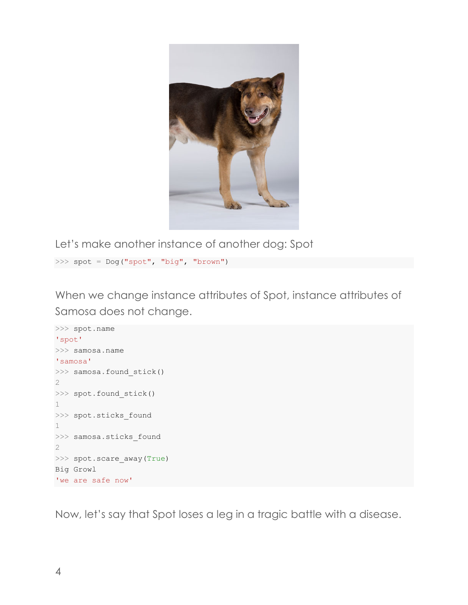

Let's make another instance of another dog: Spot

>>> spot = Dog("spot", "big", "brown")

When we change instance attributes of Spot, instance attributes of Samosa does not change.

```
>>> spot.name
'spot'
>>> samosa.name
'samosa'
>>> samosa.found stick()
2
>>> spot.found stick()
1
>>> spot.sticks_found
1
>>> samosa.sticks found
2
>>> spot.scare away(True)
Big Growl
'we are safe now'
```
Now, let's say that Spot loses a leg in a tragic battle with a disease.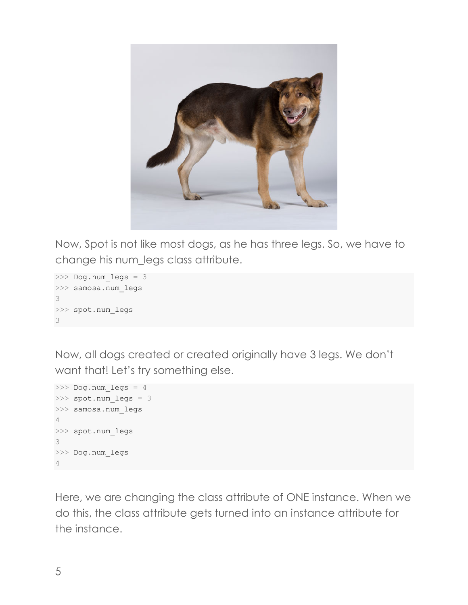

Now, Spot is not like most dogs, as he has three legs. So, we have to change his num\_legs class attribute.

```
>>> Dog.num_legs = 3
>>> samosa.num legs
3
>>> spot.num_legs
3
```
Now, all dogs created or created originally have 3 legs. We don't want that! Let's try something else.

```
>>> Dog.num_legs = 4
>>> spot.num legs = 3
>>> samosa.num_legs
4
>>> spot.num_legs
3
>>> Dog.num_legs
4
```
Here, we are changing the class attribute of ONE instance. When we do this, the class attribute gets turned into an instance attribute for the instance.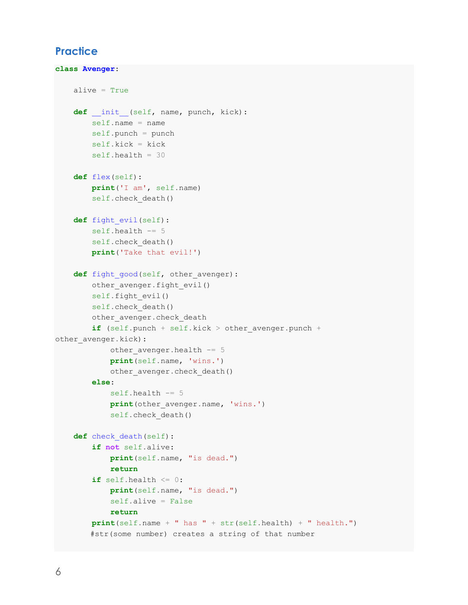#### **Practice**

```
class Avenger:
     alive = True
    def init (self, name, punch, kick):
        self.name = name self.punch = punch
         self.kick = kick
         self.health = 30
     def flex(self):
         print('I am', self.name)
        self.check death()
     def fight_evil(self):
         self.health -= 5
        self.check death()
         print('Take that evil!')
    def fight good(self, other avenger):
         other_avenger.fight_evil()
        self.fight evil()
        self.check death()
        other avenger.check death
        if (self.punch + self.kick > other avenger.punch +
other avenger.kick):
            other avenger.health -= 5
             print(self.name, 'wins.')
            other avenger.check death()
         else:
            self.health -= 5
            print(other avenger.name, 'wins.')
             self.check_death()
     def check_death(self):
         if not self.alive:
             print(self.name, "is dead.")
             return
        if self.health \leq 0:
             print(self.name, "is dead.")
             self.alive = False
             return
         print(self.name + " has " + str(self.health) + " health.")
        #str(some number) creates a string of that number
```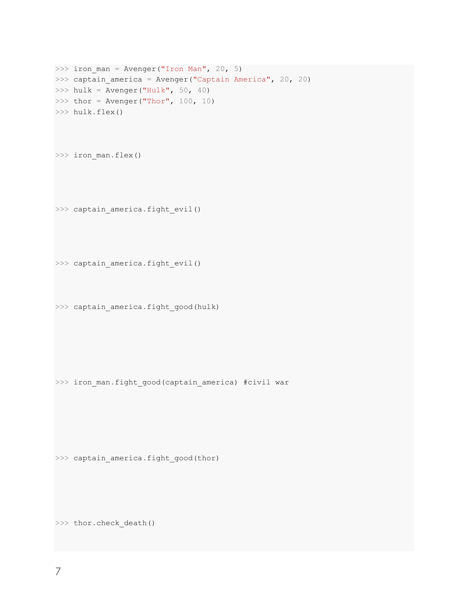```
\gg iron man = Avenger("Iron Man", 20, 5)
>>> captain america = Avenger("Captain America", 20, 20)
\gg hulk = Avenger("Hulk", 50, 40)
>>> thor = Avenger("Thor", 100, 10)
>>> hulk.flex()
>>> iron man.flex()
>>> captain_america.fight_evil()
>>> captain america.fight evil()
>>> captain america.fight good(hulk)
```
>>> iron man.fight good(captain america) #civil war

>>> captain\_america.fight\_good(thor)

>>> thor.check death()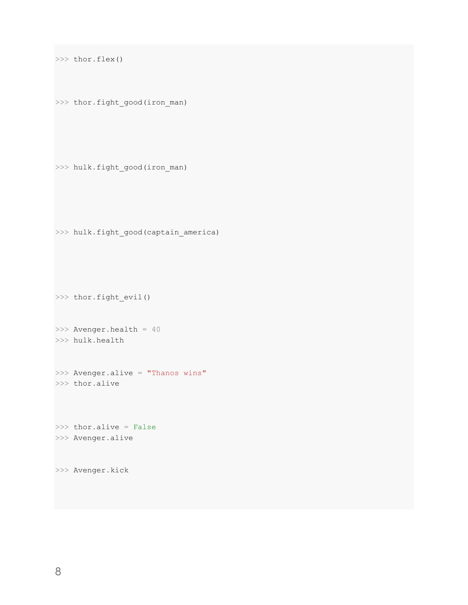```
>>> thor.flex()
```

```
>>> thor.fight_good(iron_man)
```

```
>>> hulk.fight_good(iron_man)
```

```
>>> hulk.fight_good(captain_america)
```

```
>>> thor.fight_evil()
```

```
>>> Avenger.health = 40
>>> hulk.health
```

```
>>> Avenger.alive = "Thanos wins"
>>> thor.alive
```
>>> thor.alive = False >>> Avenger.alive

>>> Avenger.kick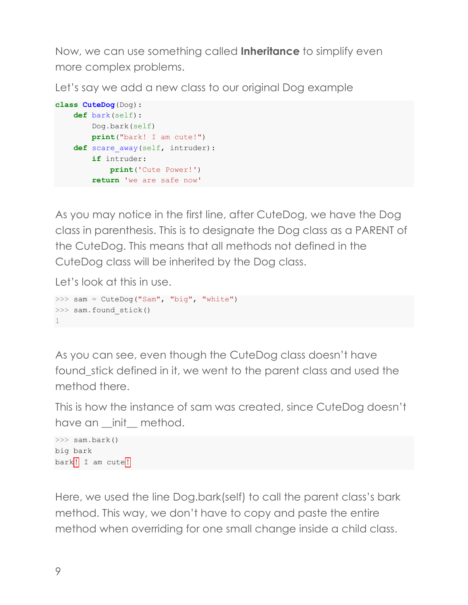Now, we can use something called **Inheritance** to simplify even more complex problems.

Let's say we add a new class to our original Dog example

```
class CuteDog(Dog):
     def bark(self):
         Dog.bark(self)
         print("bark! I am cute!")
    def scare away(self, intruder):
        if intruder:
             print('Cute Power!')
         return 'we are safe now'
```
As you may notice in the first line, after CuteDog, we have the Dog class in parenthesis. This is to designate the Dog class as a PARENT of the CuteDog. This means that all methods not defined in the CuteDog class will be inherited by the Dog class.

Let's look at this in use.

```
>>> sam = CuteDog("Sam", "big", "white")
>>> sam.found stick()
1
```
As you can see, even though the CuteDog class doesn't have found stick defined in it, we went to the parent class and used the method there.

This is how the instance of sam was created, since CuteDog doesn't have an \_init\_ method.

```
>>> sam.bark()
big bark
bar k! I am cute!
```
Here, we used the line Dog.bark(self) to call the parent class's bark method. This way, we don't have to copy and paste the entire method when overriding for one small change inside a child class.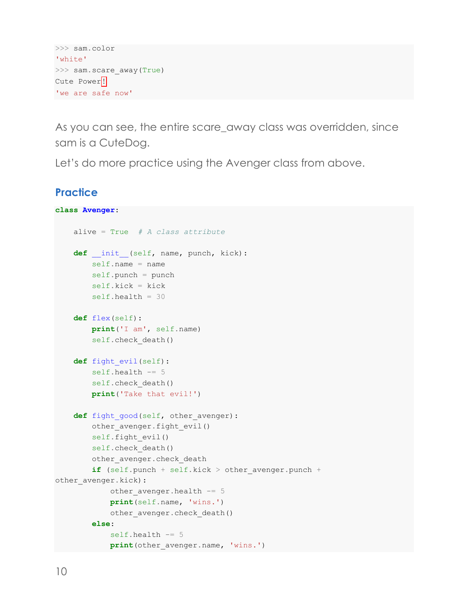```
>>> sam.color
'white'
>>> sam.scare away(True)
Cute Power<sup>!</sup>
'we are safe now'
```
As you can see, the entire scare\_away class was overridden, since sam is a CuteDog.

Let's do more practice using the Avenger class from above.

### **Practice**

```
class Avenger:
     alive = True # A class attribute
    def init (self, name, punch, kick):
       self.name = name self.punch = punch
        self.kick = kick self.health = 30
     def flex(self):
        print('I am', self.name)
        self.check death()
     def fight_evil(self):
         self.health -= 5
         self.check_death()
         print('Take that evil!')
    def fight good(self, other avenger):
       other avenger.fight evil()
        self.fight evil()
        self.check death()
        other avenger.check death
        if (self.punch + self.kick > other avenger.punch +
other avenger.kick):
            other avenger.health - = 5 print(self.name, 'wins.')
            other avenger.check death()
         else:
             self.health -= 5
            print(other avenger.name, 'wins.')
```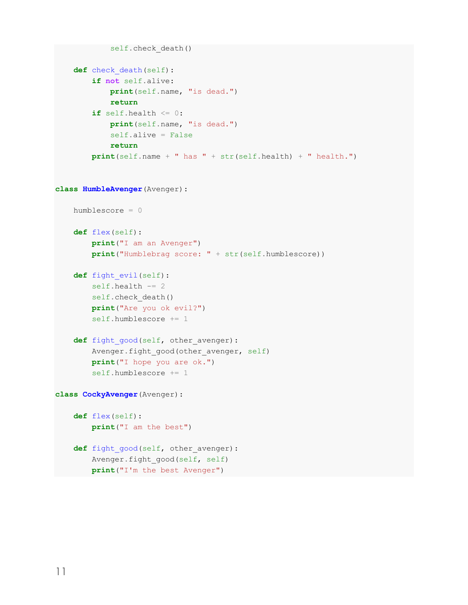```
self.check death()
     def check_death(self):
         if not self.alive:
             print(self.name, "is dead.")
             return
        if self.health \leq 0:
             print(self.name, "is dead.")
             self.alive = False
             return
         print(self.name + " has " + str(self.health) + " health.")
class HumbleAvenger(Avenger):
     humblescore = 0
     def flex(self):
         print("I am an Avenger")
         print("Humblebrag score: " + str(self.humblescore))
     def fight_evil(self):
         self.health -= 2
        self.check death()
         print("Are you ok evil?")
         self.humblescore += 1
    def fight good(self, other avenger):
        Avenger.fight good(other avenger, self)
         print("I hope you are ok.")
         self.humblescore += 1
class CockyAvenger(Avenger):
     def flex(self):
         print("I am the best")
    def fight good(self, other avenger):
        Avenger.fight good(self, self)
         print("I'm the best Avenger")
```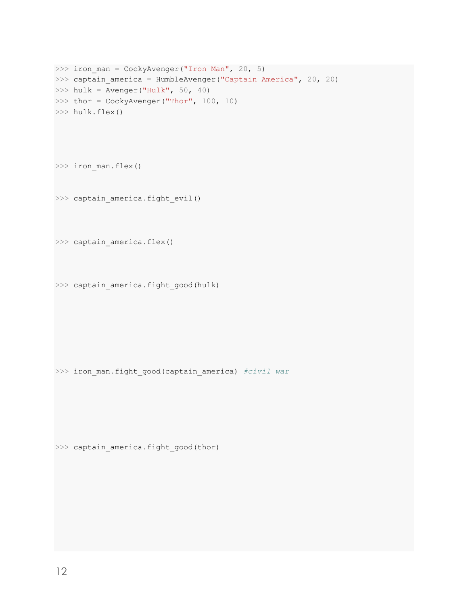```
>>> iron man = CockyAvenger("Iron Man", 20, 5)
>>> captain america = HumbleAvenger("Captain America", 20, 20)
\gg hulk = Avenger("Hulk", 50, 40)
>>> thor = CockyAvenger("Thor", 100, 10)
>>> hulk.flex()
```
>>> iron man.flex()

>>> captain america.fight evil()

>>> captain america.flex()

>>> captain\_america.fight\_good(hulk)

>>> iron\_man.fight\_good(captain\_america) *#civil war*

>>> captain\_america.fight\_good(thor)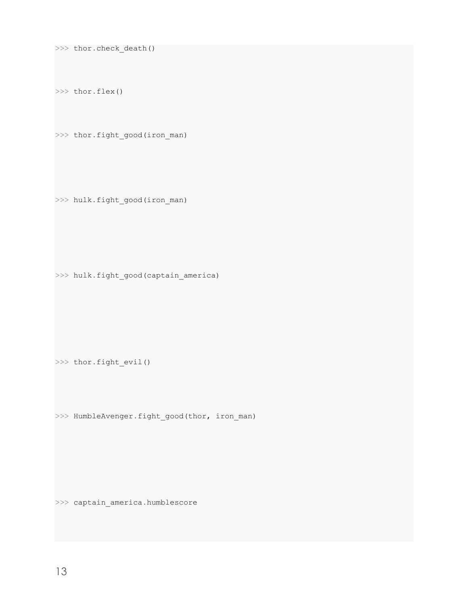>>> thor.check\_death()

>>> thor.flex()

>>> thor.fight\_good(iron\_man)

>>> hulk.fight\_good(iron\_man)

>>> hulk.fight\_good(captain\_america)

>>> thor.fight evil()

>>> HumbleAvenger.fight good(thor, iron man)

>>> captain\_america.humblescore